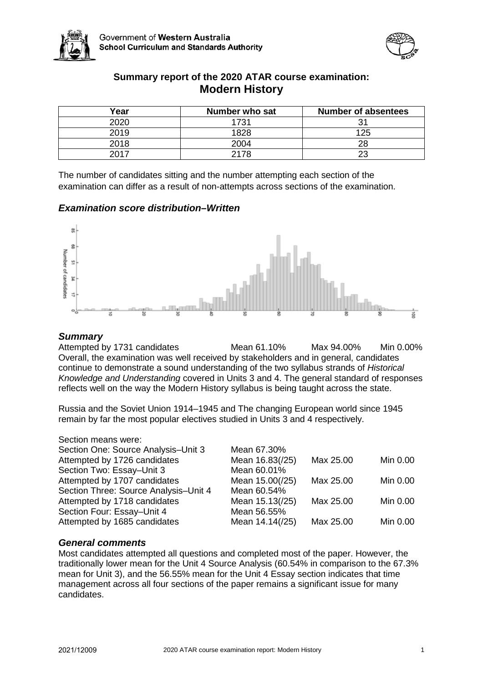



## **Summary report of the 2020 ATAR course examination: Modern History**

| Year | Number who sat | <b>Number of absentees</b> |
|------|----------------|----------------------------|
| 2020 | 1731           | 31                         |
| 2019 | 1828           | 125                        |
| 2018 | 2004           | 28                         |
| 2017 | 2178           | 23                         |

The number of candidates sitting and the number attempting each section of the examination can differ as a result of non-attempts across sections of the examination.

### *Examination score distribution–Written*



### *Summary*

Attempted by 1731 candidates Mean 61.10% Max 94.00% Min 0.00% Overall, the examination was well received by stakeholders and in general, candidates continue to demonstrate a sound understanding of the two syllabus strands of *Historical Knowledge and Understanding* covered in Units 3 and 4. The general standard of responses reflects well on the way the Modern History syllabus is being taught across the state.

Russia and the Soviet Union 1914–1945 and The changing European world since 1945 remain by far the most popular electives studied in Units 3 and 4 respectively.

#### Section means were:

| Mean 67.30%     |           |          |
|-----------------|-----------|----------|
| Mean 16.83(/25) | Max 25.00 | Min 0.00 |
| Mean 60.01%     |           |          |
| Mean 15.00(/25) | Max 25.00 | Min 0.00 |
| Mean 60.54%     |           |          |
| Mean 15.13(/25) | Max 25.00 | Min 0.00 |
| Mean 56.55%     |           |          |
| Mean 14.14(/25) | Max 25.00 | Min 0.00 |
|                 |           |          |

#### *General comments*

Most candidates attempted all questions and completed most of the paper. However, the traditionally lower mean for the Unit 4 Source Analysis (60.54% in comparison to the 67.3% mean for Unit 3), and the 56.55% mean for the Unit 4 Essay section indicates that time management across all four sections of the paper remains a significant issue for many candidates.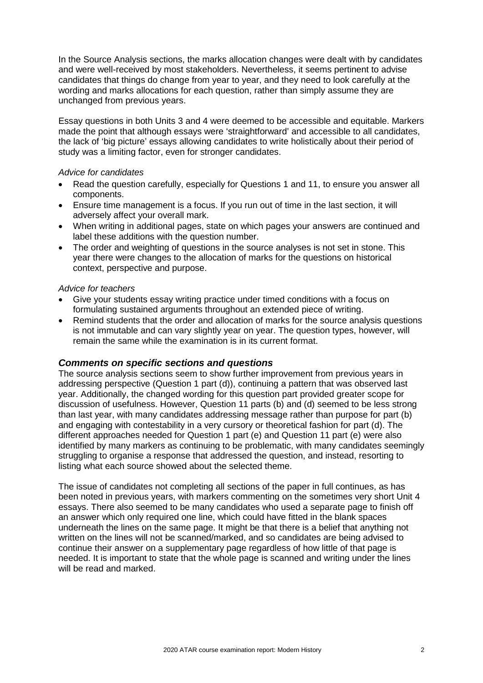In the Source Analysis sections, the marks allocation changes were dealt with by candidates and were well-received by most stakeholders. Nevertheless, it seems pertinent to advise candidates that things do change from year to year, and they need to look carefully at the wording and marks allocations for each question, rather than simply assume they are unchanged from previous years.

Essay questions in both Units 3 and 4 were deemed to be accessible and equitable. Markers made the point that although essays were 'straightforward' and accessible to all candidates, the lack of 'big picture' essays allowing candidates to write holistically about their period of study was a limiting factor, even for stronger candidates.

#### *Advice for candidates*

- Read the question carefully, especially for Questions 1 and 11, to ensure you answer all components.
- Ensure time management is a focus. If you run out of time in the last section, it will adversely affect your overall mark.
- When writing in additional pages, state on which pages your answers are continued and label these additions with the question number.
- The order and weighting of questions in the source analyses is not set in stone. This year there were changes to the allocation of marks for the questions on historical context, perspective and purpose.

#### *Advice for teachers*

- Give your students essay writing practice under timed conditions with a focus on formulating sustained arguments throughout an extended piece of writing.
- Remind students that the order and allocation of marks for the source analysis questions is not immutable and can vary slightly year on year. The question types, however, will remain the same while the examination is in its current format.

#### *Comments on specific sections and questions*

The source analysis sections seem to show further improvement from previous years in addressing perspective (Question 1 part (d)), continuing a pattern that was observed last year. Additionally, the changed wording for this question part provided greater scope for discussion of usefulness. However, Question 11 parts (b) and (d) seemed to be less strong than last year, with many candidates addressing message rather than purpose for part (b) and engaging with contestability in a very cursory or theoretical fashion for part (d). The different approaches needed for Question 1 part (e) and Question 11 part (e) were also identified by many markers as continuing to be problematic, with many candidates seemingly struggling to organise a response that addressed the question, and instead, resorting to listing what each source showed about the selected theme.

The issue of candidates not completing all sections of the paper in full continues, as has been noted in previous years, with markers commenting on the sometimes very short Unit 4 essays. There also seemed to be many candidates who used a separate page to finish off an answer which only required one line, which could have fitted in the blank spaces underneath the lines on the same page. It might be that there is a belief that anything not written on the lines will not be scanned/marked, and so candidates are being advised to continue their answer on a supplementary page regardless of how little of that page is needed. It is important to state that the whole page is scanned and writing under the lines will be read and marked.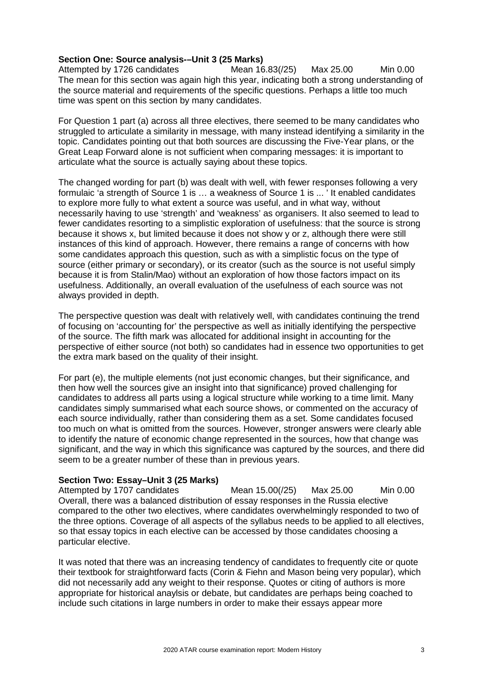# **Section One: Source analysis-–Unit 3 (25 Marks)**<br>Attempted by 1726 candidates Mean 16.83(/25)

Attempted by 1726 candidates Mean 16.83(/25) Max 25.00 Min 0.00 The mean for this section was again high this year, indicating both a strong understanding of the source material and requirements of the specific questions. Perhaps a little too much time was spent on this section by many candidates.

For Question 1 part (a) across all three electives, there seemed to be many candidates who struggled to articulate a similarity in message, with many instead identifying a similarity in the topic. Candidates pointing out that both sources are discussing the Five-Year plans, or the Great Leap Forward alone is not sufficient when comparing messages: it is important to articulate what the source is actually saying about these topics.

The changed wording for part (b) was dealt with well, with fewer responses following a very formulaic 'a strength of Source 1 is ... a weakness of Source 1 is ... ' It enabled candidates to explore more fully to what extent a source was useful, and in what way, without necessarily having to use 'strength' and 'weakness' as organisers. It also seemed to lead to fewer candidates resorting to a simplistic exploration of usefulness: that the source is strong because it shows x, but limited because it does not show y or z, although there were still instances of this kind of approach. However, there remains a range of concerns with how some candidates approach this question, such as with a simplistic focus on the type of source (either primary or secondary), or its creator (such as the source is not useful simply because it is from Stalin/Mao) without an exploration of how those factors impact on its usefulness. Additionally, an overall evaluation of the usefulness of each source was not always provided in depth.

The perspective question was dealt with relatively well, with candidates continuing the trend of focusing on 'accounting for' the perspective as well as initially identifying the perspective of the source. The fifth mark was allocated for additional insight in accounting for the perspective of either source (not both) so candidates had in essence two opportunities to get the extra mark based on the quality of their insight.

For part (e), the multiple elements (not just economic changes, but their significance, and then how well the sources give an insight into that significance) proved challenging for candidates to address all parts using a logical structure while working to a time limit. Many candidates simply summarised what each source shows, or commented on the accuracy of each source individually, rather than considering them as a set. Some candidates focused too much on what is omitted from the sources. However, stronger answers were clearly able to identify the nature of economic change represented in the sources, how that change was significant, and the way in which this significance was captured by the sources, and there did seem to be a greater number of these than in previous years.

#### **Section Two: Essay–Unit 3 (25 Marks)**

Attempted by 1707 candidates Mean 15.00(/25) Max 25.00 Min 0.00 Overall, there was a balanced distribution of essay responses in the Russia elective compared to the other two electives, where candidates overwhelmingly responded to two of the three options. Coverage of all aspects of the syllabus needs to be applied to all electives, so that essay topics in each elective can be accessed by those candidates choosing a particular elective.

It was noted that there was an increasing tendency of candidates to frequently cite or quote their textbook for straightforward facts (Corin & Fiehn and Mason being very popular), which did not necessarily add any weight to their response. Quotes or citing of authors is more appropriate for historical anaylsis or debate, but candidates are perhaps being coached to include such citations in large numbers in order to make their essays appear more